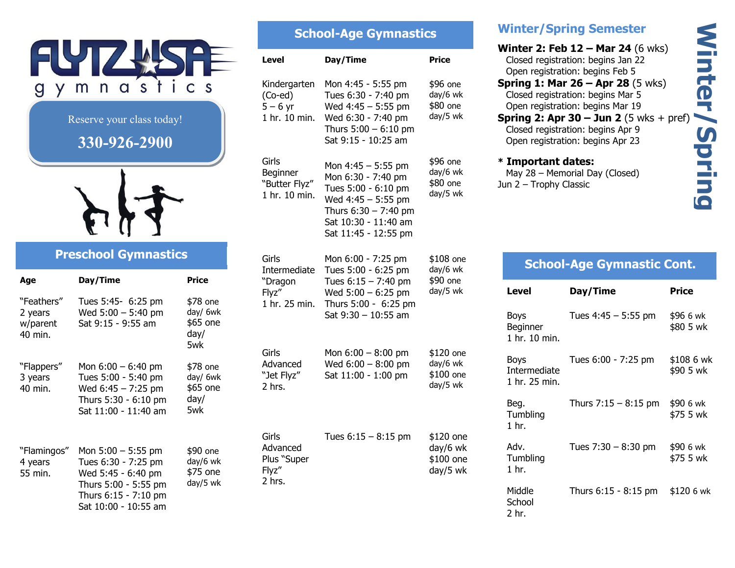

Sat 10:00 - 10:55 am

#### **School-Age Gymnastics Level Day/Time Price** Kindergarten (Co-ed)  $5 - 6$  yr 1 hr. 10 min. Wed 6:30 - 7:40 pm Mon 4:45 - 5:55 pm Tues 6:30 - 7:40 pm Wed 4:45 – 5:55 pm Thurs  $5:00 - 6:10$  pm Sat 9:15 - 10:25 am \$96 one day/6 wk \$80 one day/5 wk Girls **Beginner** "Butter Flyz" 1 hr. 10 min. Mon 4:45 – 5:55 pm Mon 6:30 - 7:40 pm Tues 5:00 - 6:10 pm Wed 4:45 – 5:55 pm Thurs  $6:30 - 7:40$  pm Sat 10:30 - 11:40 am Sat 11:45 - 12:55 pm \$96 one day/6 wk \$80 one day/5 wk Girls Intermediate Tues 5:00 - 6:25 pm "Dragon Flyz" 1 hr. 25 min. Thurs 5:00 - 6:25 pm Mon 6:00 - 7:25 pm Tues  $6:15 - 7:40$  pm Wed  $5:00 - 6:25$  pm Sat 9:30 – 10:55 am \$108 one day/6 wk \$90 one day/5 wk Girls Advanced "Jet Flyz" 2 hrs. Mon  $6:00 - 8:00$  pm Wed 6:00 – 8:00 pm Sat 11:00 - 1:00 pm \$120 one day/6 wk \$100 one day/5 wk Girls Advanced Plus "Super Flyz" 2 hrs. Tues  $6:15 - 8:15$  pm  $$120$  one day/6 wk \$100 one day/5 wk

# **Winter/Spring Semester**

**Winter 2: Feb 12 – Mar 24** (6 wks) Closed registration: begins Jan 22 Open registration: begins Feb 5 **Spring 1: Mar 26 – Apr 28** (5 wks) Closed registration: begins Mar 5 Open registration: begins Mar 19 **Spring 2: Apr 30 – Jun 2** (5 wks + pref) Closed registration: begins Apr 9 Open registration: begins Apr 23 **\* Important dates:** May 28 – Memorial Day (Closed) Jun 2 – Trophy Classic

**Winter/Spring** 

Spring

**Winter/** 

# **School-Age Gymnastic Cont.**

| Level                                        | Day/Time               | Price                   |
|----------------------------------------------|------------------------|-------------------------|
| Boys<br>Beginner<br>1 hr. 10 min.            | Tues $4:45 - 5:55$ pm  | \$96 6 wk<br>\$80 5 wk  |
| Boys<br><b>Intermediate</b><br>1 hr. 25 min. | Tues 6:00 - 7:25 pm    | \$108 6 wk<br>\$90 5 wk |
| Beg.<br>Tumbling<br>1 <sub>hr.</sub>         | Thurs $7:15 - 8:15$ pm | \$90 6 wk<br>\$75 5 wk  |
| Adv.<br>Tumbling<br>1 <sub>hr.</sub>         | Tues $7:30 - 8:30$ pm  | \$90 6 wk<br>\$75 5 wk  |
| Middle<br>School<br>2 hr.                    | Thurs 6:15 - 8:15 pm   | \$120 6 wk              |